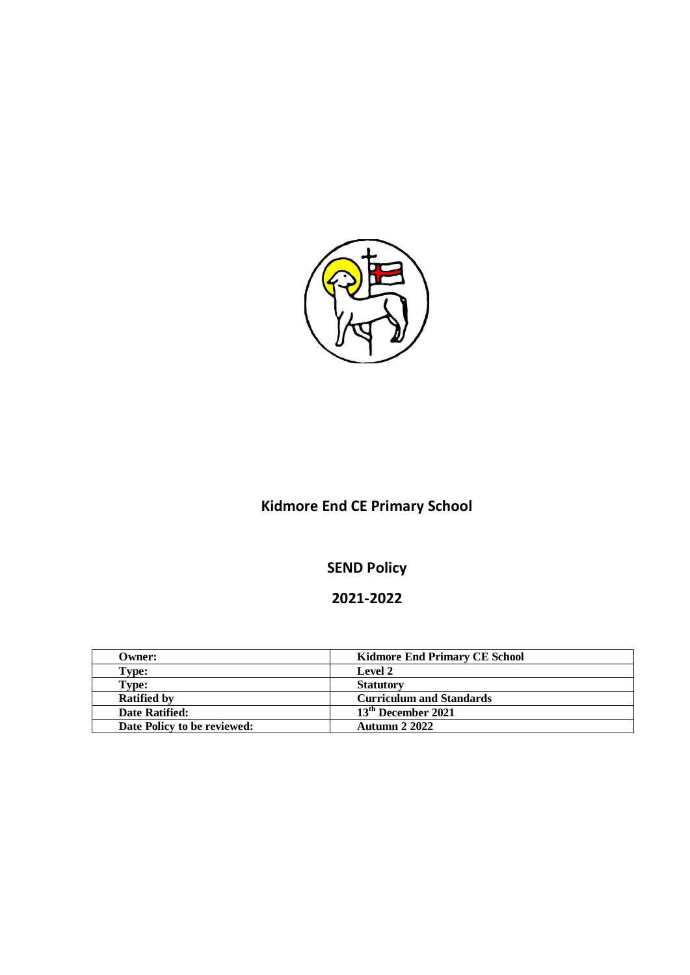

# **Kidmore End CE Primary School**

# **SEND Policy**

# **2021-2022**

| Owner:                      | <b>Kidmore End Primary CE School</b> |
|-----------------------------|--------------------------------------|
| Type:                       | <b>Level 2</b>                       |
| Type:                       | <b>Statutory</b>                     |
| <b>Ratified by</b>          | <b>Curriculum and Standards</b>      |
| Date Ratified:              | 13 <sup>th</sup> December 2021       |
| Date Policy to be reviewed: | <b>Autumn 2 2022</b>                 |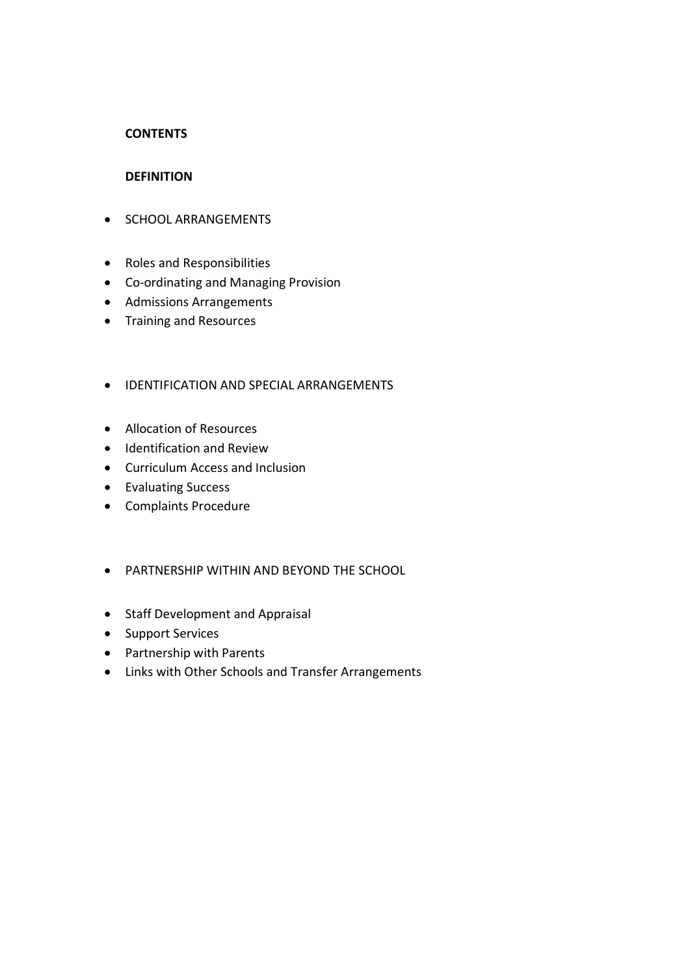# **CONTENTS**

#### **DEFINITION**

- **SCHOOL ARRANGEMENTS**
- Roles and Responsibilities
- Co-ordinating and Managing Provision
- Admissions Arrangements
- Training and Resources

# **• IDENTIFICATION AND SPECIAL ARRANGEMENTS**

- Allocation of Resources
- **•** Identification and Review
- Curriculum Access and Inclusion
- Evaluating Success
- Complaints Procedure
- PARTNERSHIP WITHIN AND BEYOND THE SCHOOL
- Staff Development and Appraisal
- Support Services
- Partnership with Parents
- Links with Other Schools and Transfer Arrangements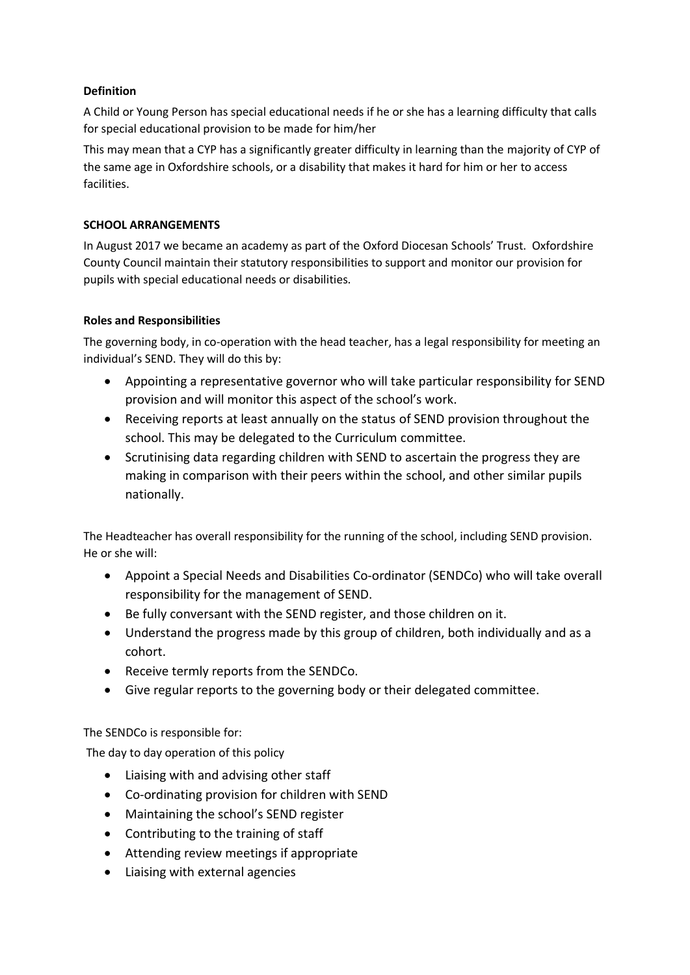# **Definition**

A Child or Young Person has special educational needs if he or she has a learning difficulty that calls for special educational provision to be made for him/her

This may mean that a CYP has a significantly greater difficulty in learning than the majority of CYP of the same age in Oxfordshire schools, or a disability that makes it hard for him or her to access facilities.

# **SCHOOL ARRANGEMENTS**

In August 2017 we became an academy as part of the Oxford Diocesan Schools' Trust. Oxfordshire County Council maintain their statutory responsibilities to support and monitor our provision for pupils with special educational needs or disabilities.

# **Roles and Responsibilities**

The governing body, in co-operation with the head teacher, has a legal responsibility for meeting an individual's SEND. They will do this by:

- Appointing a representative governor who will take particular responsibility for SEND provision and will monitor this aspect of the school's work.
- Receiving reports at least annually on the status of SEND provision throughout the school. This may be delegated to the Curriculum committee.
- Scrutinising data regarding children with SEND to ascertain the progress they are making in comparison with their peers within the school, and other similar pupils nationally.

The Headteacher has overall responsibility for the running of the school, including SEND provision. He or she will:

- Appoint a Special Needs and Disabilities Co-ordinator (SENDCo) who will take overall responsibility for the management of SEND.
- Be fully conversant with the SEND register, and those children on it.
- Understand the progress made by this group of children, both individually and as a cohort.
- Receive termly reports from the SENDCo.
- Give regular reports to the governing body or their delegated committee.

The SENDCo is responsible for:

The day to day operation of this policy

- Liaising with and advising other staff
- Co-ordinating provision for children with SEND
- Maintaining the school's SEND register
- Contributing to the training of staff
- Attending review meetings if appropriate
- Liaising with external agencies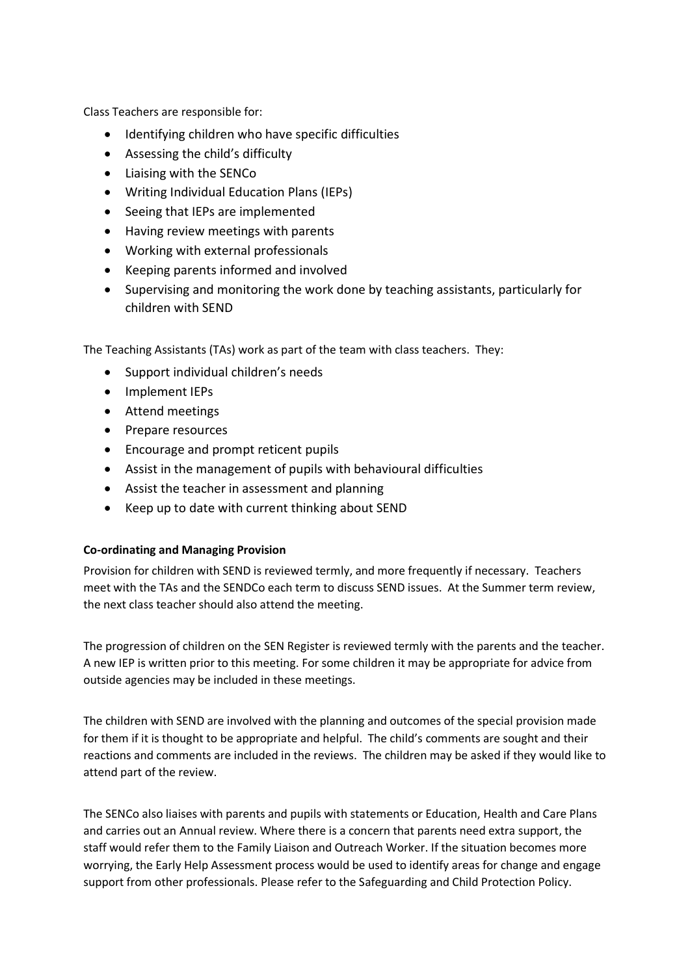Class Teachers are responsible for:

- Identifying children who have specific difficulties
- Assessing the child's difficulty
- Liaising with the SENCo
- Writing Individual Education Plans (IEPs)
- Seeing that IEPs are implemented
- Having review meetings with parents
- Working with external professionals
- Keeping parents informed and involved
- Supervising and monitoring the work done by teaching assistants, particularly for children with SEND

The Teaching Assistants (TAs) work as part of the team with class teachers. They:

- Support individual children's needs
- Implement IEPs
- Attend meetings
- Prepare resources
- Encourage and prompt reticent pupils
- Assist in the management of pupils with behavioural difficulties
- Assist the teacher in assessment and planning
- Keep up to date with current thinking about SEND

# **Co-ordinating and Managing Provision**

Provision for children with SEND is reviewed termly, and more frequently if necessary. Teachers meet with the TAs and the SENDCo each term to discuss SEND issues. At the Summer term review, the next class teacher should also attend the meeting.

The progression of children on the SEN Register is reviewed termly with the parents and the teacher. A new IEP is written prior to this meeting. For some children it may be appropriate for advice from outside agencies may be included in these meetings.

The children with SEND are involved with the planning and outcomes of the special provision made for them if it is thought to be appropriate and helpful. The child's comments are sought and their reactions and comments are included in the reviews. The children may be asked if they would like to attend part of the review.

The SENCo also liaises with parents and pupils with statements or Education, Health and Care Plans and carries out an Annual review. Where there is a concern that parents need extra support, the staff would refer them to the Family Liaison and Outreach Worker. If the situation becomes more worrying, the Early Help Assessment process would be used to identify areas for change and engage support from other professionals. Please refer to the Safeguarding and Child Protection Policy.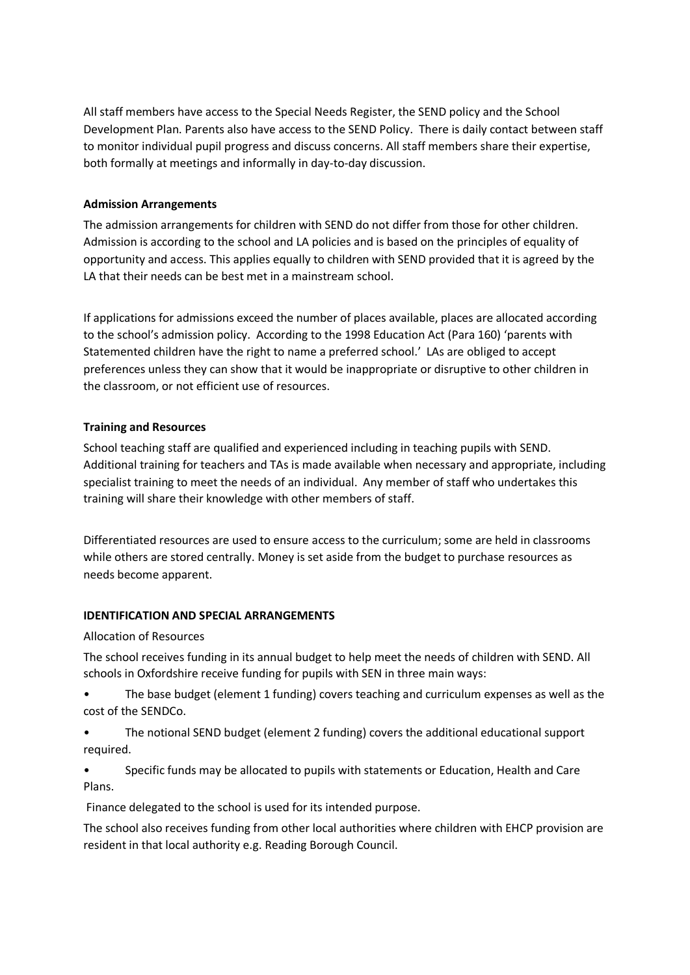All staff members have access to the Special Needs Register, the SEND policy and the School Development Plan. Parents also have access to the SEND Policy. There is daily contact between staff to monitor individual pupil progress and discuss concerns. All staff members share their expertise, both formally at meetings and informally in day-to-day discussion.

#### **Admission Arrangements**

The admission arrangements for children with SEND do not differ from those for other children. Admission is according to the school and LA policies and is based on the principles of equality of opportunity and access. This applies equally to children with SEND provided that it is agreed by the LA that their needs can be best met in a mainstream school.

If applications for admissions exceed the number of places available, places are allocated according to the school's admission policy. According to the 1998 Education Act (Para 160) 'parents with Statemented children have the right to name a preferred school.' LAs are obliged to accept preferences unless they can show that it would be inappropriate or disruptive to other children in the classroom, or not efficient use of resources.

#### **Training and Resources**

School teaching staff are qualified and experienced including in teaching pupils with SEND. Additional training for teachers and TAs is made available when necessary and appropriate, including specialist training to meet the needs of an individual. Any member of staff who undertakes this training will share their knowledge with other members of staff.

Differentiated resources are used to ensure access to the curriculum; some are held in classrooms while others are stored centrally. Money is set aside from the budget to purchase resources as needs become apparent.

# **IDENTIFICATION AND SPECIAL ARRANGEMENTS**

#### Allocation of Resources

The school receives funding in its annual budget to help meet the needs of children with SEND. All schools in Oxfordshire receive funding for pupils with SEN in three main ways:

• The base budget (element 1 funding) covers teaching and curriculum expenses as well as the cost of the SENDCo.

• The notional SEND budget (element 2 funding) covers the additional educational support required.

• Specific funds may be allocated to pupils with statements or Education, Health and Care Plans.

Finance delegated to the school is used for its intended purpose.

The school also receives funding from other local authorities where children with EHCP provision are resident in that local authority e.g. Reading Borough Council.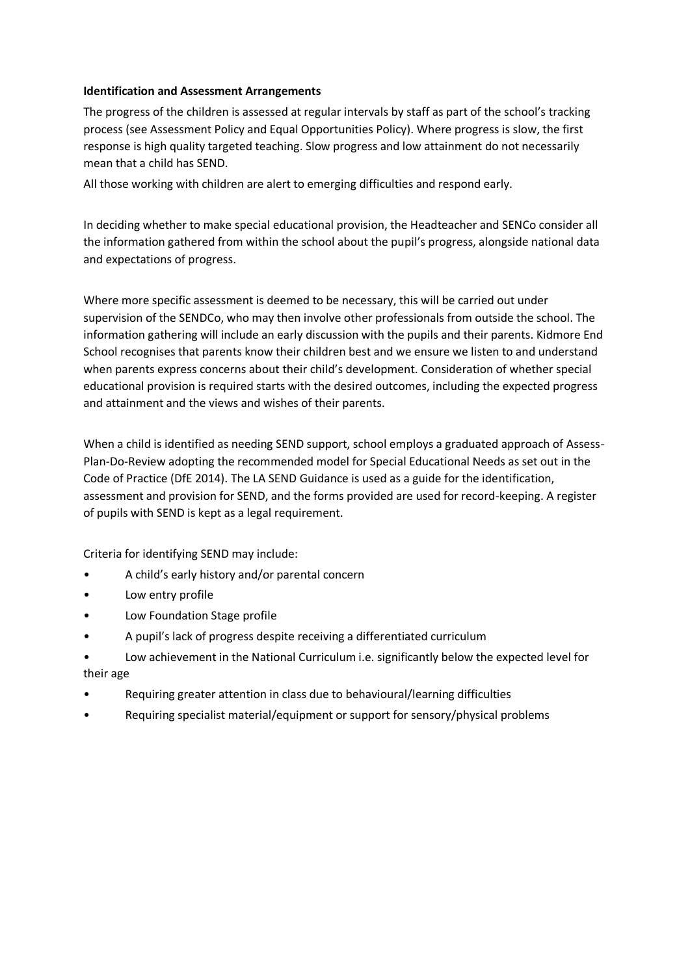#### **Identification and Assessment Arrangements**

The progress of the children is assessed at regular intervals by staff as part of the school's tracking process (see Assessment Policy and Equal Opportunities Policy). Where progress is slow, the first response is high quality targeted teaching. Slow progress and low attainment do not necessarily mean that a child has SEND.

All those working with children are alert to emerging difficulties and respond early.

In deciding whether to make special educational provision, the Headteacher and SENCo consider all the information gathered from within the school about the pupil's progress, alongside national data and expectations of progress.

Where more specific assessment is deemed to be necessary, this will be carried out under supervision of the SENDCo, who may then involve other professionals from outside the school. The information gathering will include an early discussion with the pupils and their parents. Kidmore End School recognises that parents know their children best and we ensure we listen to and understand when parents express concerns about their child's development. Consideration of whether special educational provision is required starts with the desired outcomes, including the expected progress and attainment and the views and wishes of their parents.

When a child is identified as needing SEND support, school employs a graduated approach of Assess-Plan-Do-Review adopting the recommended model for Special Educational Needs as set out in the Code of Practice (DfE 2014). The LA SEND Guidance is used as a guide for the identification, assessment and provision for SEND, and the forms provided are used for record-keeping. A register of pupils with SEND is kept as a legal requirement.

Criteria for identifying SEND may include:

- A child's early history and/or parental concern
- Low entry profile
- Low Foundation Stage profile
- A pupil's lack of progress despite receiving a differentiated curriculum
- Low achievement in the National Curriculum i.e. significantly below the expected level for their age
- Requiring greater attention in class due to behavioural/learning difficulties
- Requiring specialist material/equipment or support for sensory/physical problems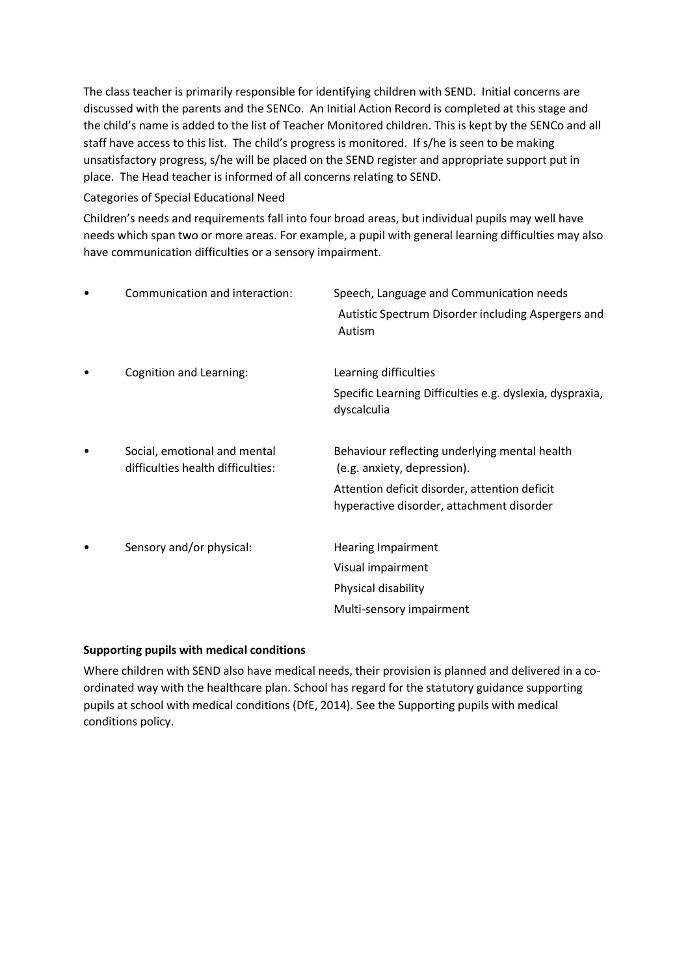The class teacher is primarily responsible for identifying children with SEND. Initial concerns are discussed with the parents and the SENCo. An Initial Action Record is completed at this stage and the child's name is added to the list of Teacher Monitored children. This is kept by the SENCo and all staff have access to this list. The child's progress is monitored. If s/he is seen to be making unsatisfactory progress, s/he will be placed on the SEND register and appropriate support put in place. The Head teacher is informed of all concerns relating to SEND.

# Categories of Special Educational Need

Children's needs and requirements fall into four broad areas, but individual pupils may well have needs which span two or more areas. For example, a pupil with general learning difficulties may also have communication difficulties or a sensory impairment.

| Communication and interaction:                                    | Speech, Language and Communication needs<br>Autistic Spectrum Disorder including Aspergers and<br>Autism                                                                   |
|-------------------------------------------------------------------|----------------------------------------------------------------------------------------------------------------------------------------------------------------------------|
| <b>Cognition and Learning:</b>                                    | Learning difficulties<br>Specific Learning Difficulties e.g. dyslexia, dyspraxia,<br>dyscalculia                                                                           |
| Social, emotional and mental<br>difficulties health difficulties: | Behaviour reflecting underlying mental health<br>(e.g. anxiety, depression).<br>Attention deficit disorder, attention deficit<br>hyperactive disorder, attachment disorder |
| Sensory and/or physical:                                          | <b>Hearing Impairment</b><br>Visual impairment<br>Physical disability<br>Multi-sensory impairment                                                                          |

# **Supporting pupils with medical conditions**

Where children with SEND also have medical needs, their provision is planned and delivered in a coordinated way with the healthcare plan. School has regard for the statutory guidance supporting pupils at school with medical conditions (DfE, 2014). See the Supporting pupils with medical conditions policy.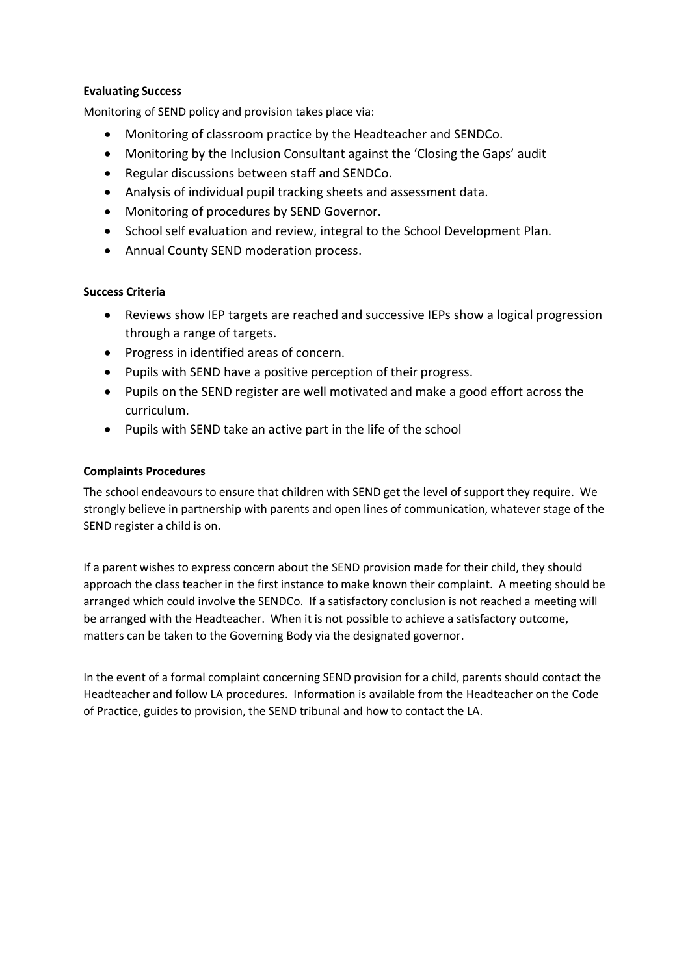# **Evaluating Success**

Monitoring of SEND policy and provision takes place via:

- Monitoring of classroom practice by the Headteacher and SENDCo.
- Monitoring by the Inclusion Consultant against the 'Closing the Gaps' audit
- Regular discussions between staff and SENDCo.
- Analysis of individual pupil tracking sheets and assessment data.
- Monitoring of procedures by SEND Governor.
- School self evaluation and review, integral to the School Development Plan.
- Annual County SEND moderation process.

#### **Success Criteria**

- Reviews show IEP targets are reached and successive IEPs show a logical progression through a range of targets.
- Progress in identified areas of concern.
- Pupils with SEND have a positive perception of their progress.
- Pupils on the SEND register are well motivated and make a good effort across the curriculum.
- Pupils with SEND take an active part in the life of the school

#### **Complaints Procedures**

The school endeavours to ensure that children with SEND get the level of support they require. We strongly believe in partnership with parents and open lines of communication, whatever stage of the SEND register a child is on.

If a parent wishes to express concern about the SEND provision made for their child, they should approach the class teacher in the first instance to make known their complaint. A meeting should be arranged which could involve the SENDCo. If a satisfactory conclusion is not reached a meeting will be arranged with the Headteacher. When it is not possible to achieve a satisfactory outcome, matters can be taken to the Governing Body via the designated governor.

In the event of a formal complaint concerning SEND provision for a child, parents should contact the Headteacher and follow LA procedures. Information is available from the Headteacher on the Code of Practice, guides to provision, the SEND tribunal and how to contact the LA.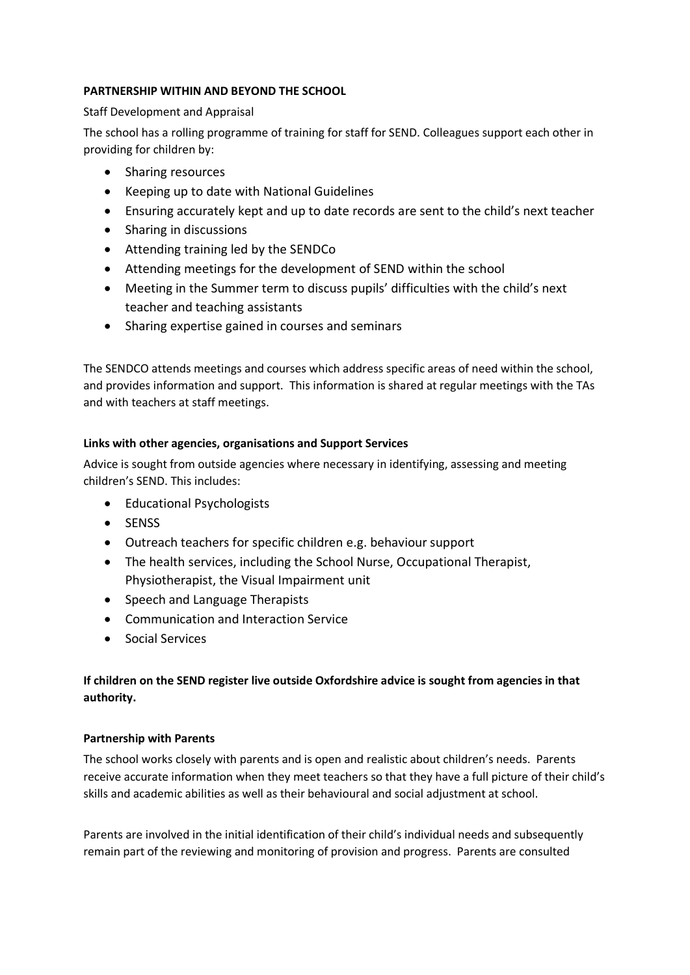# **PARTNERSHIP WITHIN AND BEYOND THE SCHOOL**

#### Staff Development and Appraisal

The school has a rolling programme of training for staff for SEND. Colleagues support each other in providing for children by:

- Sharing resources
- Keeping up to date with National Guidelines
- Ensuring accurately kept and up to date records are sent to the child's next teacher
- Sharing in discussions
- Attending training led by the SENDCo
- Attending meetings for the development of SEND within the school
- Meeting in the Summer term to discuss pupils' difficulties with the child's next teacher and teaching assistants
- Sharing expertise gained in courses and seminars

The SENDCO attends meetings and courses which address specific areas of need within the school, and provides information and support. This information is shared at regular meetings with the TAs and with teachers at staff meetings.

#### **Links with other agencies, organisations and Support Services**

Advice is sought from outside agencies where necessary in identifying, assessing and meeting children's SEND. This includes:

- Educational Psychologists
- SENSS
- Outreach teachers for specific children e.g. behaviour support
- The health services, including the School Nurse, Occupational Therapist, Physiotherapist, the Visual Impairment unit
- Speech and Language Therapists
- Communication and Interaction Service
- Social Services

# **If children on the SEND register live outside Oxfordshire advice is sought from agencies in that authority.**

#### **Partnership with Parents**

The school works closely with parents and is open and realistic about children's needs. Parents receive accurate information when they meet teachers so that they have a full picture of their child's skills and academic abilities as well as their behavioural and social adjustment at school.

Parents are involved in the initial identification of their child's individual needs and subsequently remain part of the reviewing and monitoring of provision and progress. Parents are consulted